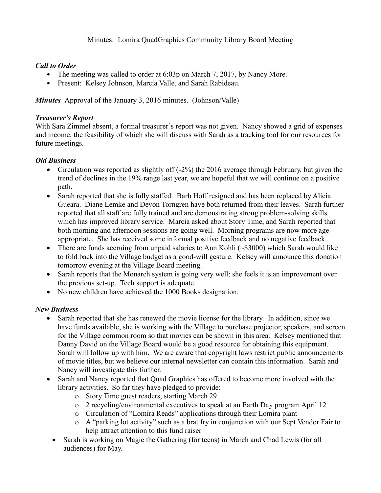# *Call to Order*

- The meeting was called to order at 6:03p on March 7, 2017, by Nancy More.
- Present: Kelsey Johnson, Marcia Valle, and Sarah Rabideau.

*Minutes* Approval of the January 3, 2016 minutes. (Johnson/Valle)

### *Treasurer's Report*

With Sara Zimmel absent, a formal treasurer's report was not given. Nancy showed a grid of expenses and income, the feasibility of which she will discuss with Sarah as a tracking tool for our resources for future meetings.

# *Old Business*

- Circulation was reported as slightly of  $(-2\%)$  the 2016 average through February, but given the trend of declines in the 19% range last year, we are hopeful that we will continue on a positive path.
- Sarah reported that she is fully staffed. Barb Hoff resigned and has been replaced by Alicia Gueara. Diane Lemke and Devon Torngren have both returned from their leaves. Sarah further reported that all staff are fully trained and are demonstrating strong problem-solving skills which has improved library service. Marcia asked about Story Time, and Sarah reported that both morning and afternoon sessions are going well. Morning programs are now more ageappropriate. She has received some informal positive feedback and no negative feedback.
- There are funds accruing from unpaid salaries to Ann Kohli (~\$3000) which Sarah would like to fold back into the Village budget as a good-will gesture. Kelsey will announce this donation tomorrow evening at the Village Board meeting.
- Sarah reports that the Monarch system is going very well; she feels it is an improvement over the previous set-up. Tech support is adequate.
- No new children have achieved the 1000 Books designation.

# *New Business*

- Sarah reported that she has renewed the movie license for the library. In addition, since we have funds available, she is working with the Village to purchase projector, speakers, and screen for the Village common room so that movies can be shown in this area. Kelsey mentioned that Danny David on the Village Board would be a good resource for obtaining this equipment. Sarah will follow up with him. We are aware that copyright laws restrict public announcements of movie titles, but we believe our internal newsletter can contain this information. Sarah and Nancy will investigate this further.
- Sarah and Nancy reported that Quad Graphics has offered to become more involved with the library activities. So far they have pledged to provide:
	- o Story Time guest readers, starting March 29
	- o 2 recycling/environmental executives to speak at an Earth Day program April 12
	- o Circulation of "Lomira Reads" applications through their Lomira plant
	- o A "parking lot activity" such as a brat fry in conjunction with our Sept Vendor Fair to help attract attention to this fund raiser
	- Sarah is working on Magic the Gathering (for teens) in March and Chad Lewis (for all audiences) for May.